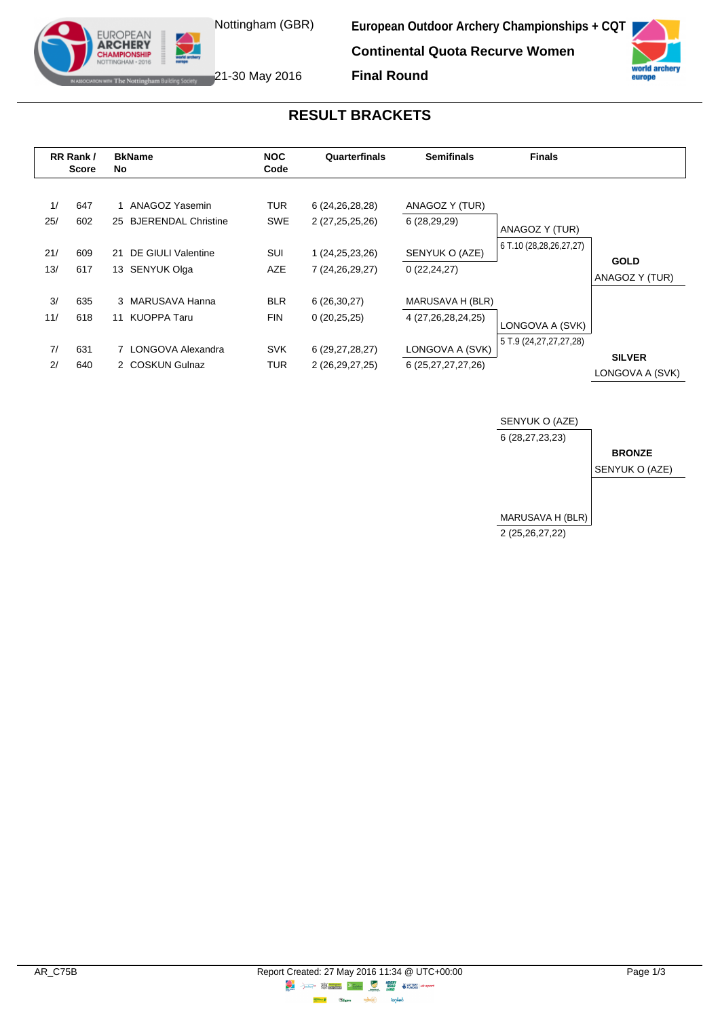Nottingham (GBR)

**IF The Nottingham Building Society** 21-30 May 2016

**EUROPEAN ARCHERY** 

**European Outdoor Archery Championships + CQT Continental Quota Recurve Women Final Round**



**RESULT BRACKETS**

| RR Rank/<br><b>Score</b> |            | <b>BkName</b><br>No                                  | <b>NOC</b><br>Code       | Quarterfinals                            | <b>Semifinals</b>                          | <b>Finals</b>              |                                  |
|--------------------------|------------|------------------------------------------------------|--------------------------|------------------------------------------|--------------------------------------------|----------------------------|----------------------------------|
| 1/<br>25/                | 647<br>602 | ANAGOZ Yasemin<br><b>BJERENDAL Christine</b><br>25   | <b>TUR</b><br><b>SWE</b> | 6 (24, 26, 28, 28)<br>2 (27,25,25,26)    | ANAGOZ Y (TUR)<br>6(28, 29, 29)            | ANAGOZ Y (TUR)             |                                  |
| 21/<br>13/               | 609<br>617 | DE GIULI Valentine<br>21<br><b>SENYUK Olga</b><br>13 | <b>SUI</b><br><b>AZE</b> | 1 (24, 25, 23, 26)<br>7 (24, 26, 29, 27) | SENYUK O (AZE)<br>0(22, 24, 27)            | 6 T.10 (28,28,26,27,27)    | <b>GOLD</b><br>ANAGOZ Y (TUR)    |
| 3/<br>11/                | 635<br>618 | 3 MARUSAVA Hanna<br><b>KUOPPA Taru</b><br>11         | <b>BLR</b><br><b>FIN</b> | 6(26,30,27)<br>0(20,25,25)               | MARUSAVA H (BLR)<br>4 (27, 26, 28, 24, 25) | LONGOVA A (SVK)            |                                  |
| 7/<br>2/                 | 631<br>640 | 7 LONGOVA Alexandra<br>2 COSKUN Gulnaz               | <b>SVK</b><br>TUR        | 6 (29, 27, 28, 27)<br>2 (26, 29, 27, 25) | LONGOVA A (SVK)<br>6 (25, 27, 27, 27, 26)  | 5 T.9 (24, 27, 27, 27, 28) | <b>SILVER</b><br>LONGOVA A (SVK) |

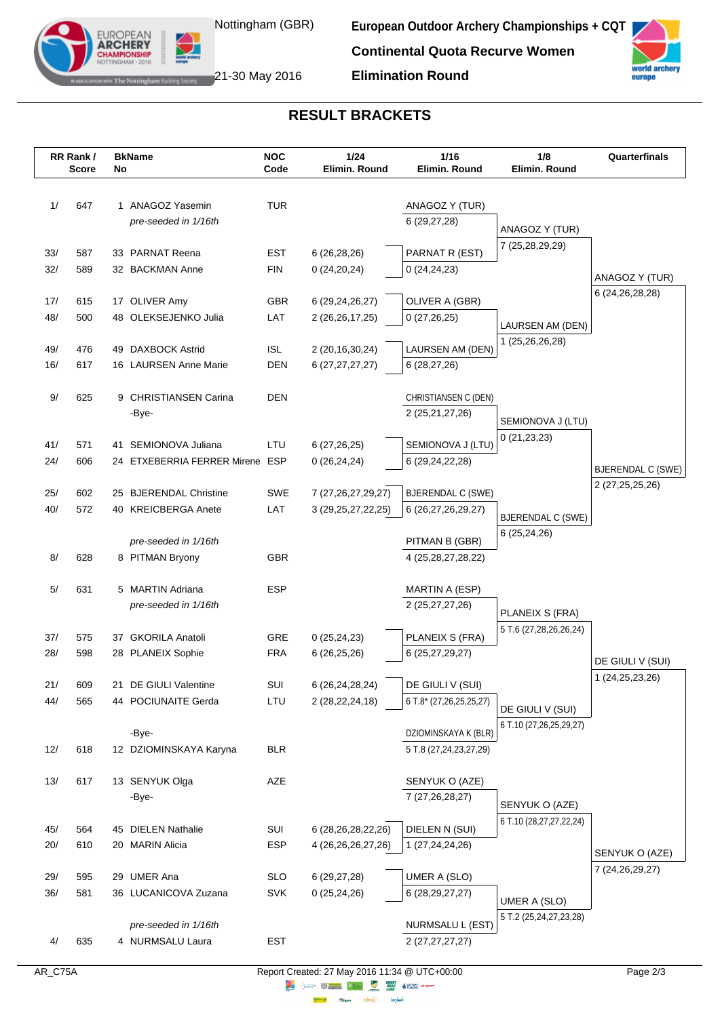

**European Outdoor Archery Championships + CQT**

**Continental Quota Recurve Women**



WHERE Notting ham Building Society 21-30 May 2016

EUROPEAN<br>**ARCHERY MPIONSHII** 

**RESULT BRACKETS**

**Elimination Round**

|            | RR Rank/<br><b>Score</b> | No | <b>BkName</b>                         | <b>NOC</b><br>Code | 1/24<br>Elimin. Round                                                                                                                                                                                                                | 1/16<br>Elimin. Round             | 1/8<br>Elimin. Round                   | Quarterfinals            |
|------------|--------------------------|----|---------------------------------------|--------------------|--------------------------------------------------------------------------------------------------------------------------------------------------------------------------------------------------------------------------------------|-----------------------------------|----------------------------------------|--------------------------|
|            |                          |    |                                       |                    |                                                                                                                                                                                                                                      |                                   |                                        |                          |
| 1/         | 647                      |    | 1 ANAGOZ Yasemin                      | <b>TUR</b>         |                                                                                                                                                                                                                                      | ANAGOZ Y (TUR)                    |                                        |                          |
|            |                          |    | pre-seeded in 1/16th                  |                    |                                                                                                                                                                                                                                      | 6 (29,27,28)                      | ANAGOZ Y (TUR)                         |                          |
|            |                          |    |                                       |                    |                                                                                                                                                                                                                                      |                                   | 7 (25,28,29,29)                        |                          |
| 33/        | 587                      |    | 33 PARNAT Reena                       | EST                | 6(26, 28, 26)                                                                                                                                                                                                                        | PARNAT R (EST)                    |                                        |                          |
| 32/        | 589                      |    | 32 BACKMAN Anne                       | <b>FIN</b>         | 0(24,20,24)                                                                                                                                                                                                                          | 0(24,24,23)                       |                                        | ANAGOZ Y (TUR)           |
| 17/        | 615                      |    | 17 OLIVER Amy                         | <b>GBR</b>         | 6 (29, 24, 26, 27)                                                                                                                                                                                                                   | OLIVER A (GBR)                    |                                        | 6 (24, 26, 28, 28)       |
| 48/        | 500                      |    | 48 OLEKSEJENKO Julia                  | LAT                | 2 (26, 26, 17, 25)                                                                                                                                                                                                                   | 0(27,26,25)                       |                                        |                          |
|            |                          |    |                                       |                    |                                                                                                                                                                                                                                      |                                   | LAURSEN AM (DEN)                       |                          |
| 49/        | 476                      |    | 49 DAXBOCK Astrid                     | <b>ISL</b>         | 2 (20, 16, 30, 24)                                                                                                                                                                                                                   | LAURSEN AM (DEN)                  | 1 (25,26,26,28)                        |                          |
| 16/        | 617                      |    | 16 LAURSEN Anne Marie                 | <b>DEN</b>         | 6 (27,27,27,27)                                                                                                                                                                                                                      | 6(28, 27, 26)                     |                                        |                          |
|            |                          |    |                                       |                    |                                                                                                                                                                                                                                      |                                   |                                        |                          |
| 9/         | 625                      |    | 9 CHRISTIANSEN Carina                 | <b>DEN</b>         |                                                                                                                                                                                                                                      | CHRISTIANSEN C (DEN)              |                                        |                          |
|            |                          |    | -Bye-                                 |                    |                                                                                                                                                                                                                                      | 2 (25,21,27,26)                   | SEMIONOVA J (LTU)                      |                          |
| 41/        | 571                      |    | 41 SEMIONOVA Juliana                  | LTU                | 6(27, 26, 25)                                                                                                                                                                                                                        | SEMIONOVA J (LTU)                 | 0(21, 23, 23)                          |                          |
| 24/        | 606                      |    | 24 ETXEBERRIA FERRER Mirene ESP       |                    | 0(26, 24, 24)                                                                                                                                                                                                                        | 6 (29,24,22,28)                   |                                        |                          |
|            |                          |    |                                       |                    |                                                                                                                                                                                                                                      |                                   |                                        | <b>BJERENDAL C (SWE)</b> |
| 25/        | 602                      |    | 25 BJERENDAL Christine                | SWE                | 7 (27, 26, 27, 29, 27)                                                                                                                                                                                                               | <b>BJERENDAL C (SWE)</b>          |                                        | 2 (27, 25, 25, 26)       |
| 40/        | 572                      |    | 40 KREICBERGA Anete                   | LAT                | 3 (29, 25, 27, 22, 25)                                                                                                                                                                                                               | 6 (26,27,26,29,27)                | <b>BJERENDAL C (SWE)</b>               |                          |
|            |                          |    |                                       |                    |                                                                                                                                                                                                                                      |                                   | 6(25,24,26)                            |                          |
|            |                          |    | pre-seeded in 1/16th                  |                    |                                                                                                                                                                                                                                      | PITMAN B (GBR)                    |                                        |                          |
| 8/         | 628                      |    | 8 PITMAN Bryony                       | <b>GBR</b>         |                                                                                                                                                                                                                                      | 4 (25, 28, 27, 28, 22)            |                                        |                          |
| 5/         | 631                      |    | 5 MARTIN Adriana                      | <b>ESP</b>         |                                                                                                                                                                                                                                      | MARTIN A (ESP)                    |                                        |                          |
|            |                          |    | pre-seeded in 1/16th                  |                    |                                                                                                                                                                                                                                      | 2 (25,27,27,26)                   | PLANEIX S (FRA)                        |                          |
|            |                          |    |                                       |                    |                                                                                                                                                                                                                                      |                                   | 5 T.6 (27,28,26,26,24)                 |                          |
| 37/        | 575                      |    | 37 GKORILA Anatoli                    | GRE                | 0(25, 24, 23)                                                                                                                                                                                                                        | PLANEIX S (FRA)                   |                                        |                          |
| 28/        | 598                      |    | 28 PLANEIX Sophie                     | <b>FRA</b>         | 6(26,25,26)                                                                                                                                                                                                                          | 6 (25,27,29,27)                   |                                        | DE GIULI V (SUI)         |
| 21/        | 609                      |    | 21 DE GIULI Valentine                 | SUI                |                                                                                                                                                                                                                                      | DE GIULI V (SUI)                  |                                        | 1 (24, 25, 23, 26)       |
| 44/        | 565                      |    | 44 POCIUNAITE Gerda                   | LTU                | 6 (26,24,28,24)<br>2 (28, 22, 24, 18)                                                                                                                                                                                                | 6 T.8* (27,26,25,25,27)           |                                        |                          |
|            |                          |    |                                       |                    |                                                                                                                                                                                                                                      |                                   | DE GIULI V (SUI)                       |                          |
|            |                          |    | -Bye-                                 |                    |                                                                                                                                                                                                                                      | DZIOMINSKAYA K (BLR)              | 6 T.10 (27,26,25,29,27)                |                          |
| 12/        | 618                      |    | 12 DZIOMINSKAYA Karyna                | <b>BLR</b>         |                                                                                                                                                                                                                                      | 5 T.8 (27, 24, 23, 27, 29)        |                                        |                          |
|            |                          |    |                                       |                    |                                                                                                                                                                                                                                      |                                   |                                        |                          |
| 13/        | 617                      |    | 13 SENYUK Olga                        | AZE                |                                                                                                                                                                                                                                      | SENYUK O (AZE)                    |                                        |                          |
|            |                          |    | -Bye-                                 |                    |                                                                                                                                                                                                                                      | 7 (27,26,28,27)                   | SENYUK O (AZE)                         |                          |
|            |                          |    |                                       |                    |                                                                                                                                                                                                                                      |                                   | 6 T.10 (28,27,27,22,24)                |                          |
| 45/<br>20/ | 564<br>610               |    | 45 DIELEN Nathalie<br>20 MARIN Alicia | SUI<br><b>ESP</b>  | 6 (28,26,28,22,26)<br>4 (26,26,26,27,26)                                                                                                                                                                                             | DIELEN N (SUI)<br>1 (27,24,24,26) |                                        |                          |
|            |                          |    |                                       |                    |                                                                                                                                                                                                                                      |                                   |                                        | SENYUK O (AZE)           |
| 29/        | 595                      |    | 29 UMER Ana                           | <b>SLO</b>         | 6(29, 27, 28)                                                                                                                                                                                                                        | UMER A (SLO)                      |                                        | 7 (24, 26, 29, 27)       |
| 36/        | 581                      |    | 36 LUCANICOVA Zuzana                  | <b>SVK</b>         | 0(25, 24, 26)                                                                                                                                                                                                                        | 6 (28, 29, 27, 27)                |                                        |                          |
|            |                          |    |                                       |                    |                                                                                                                                                                                                                                      |                                   | UMER A (SLO)<br>5 T.2 (25,24,27,23,28) |                          |
|            |                          |    | pre-seeded in 1/16th                  |                    |                                                                                                                                                                                                                                      | NURMSALU L (EST)                  |                                        |                          |
| 4/         | 635                      |    | 4 NURMSALU Laura                      | <b>EST</b>         |                                                                                                                                                                                                                                      | 2 (27,27,27,27)                   |                                        |                          |
|            |                          |    |                                       |                    | Report Created: 27 May 2016 11:34 @ UTC+00:00                                                                                                                                                                                        |                                   |                                        |                          |
| AR_C75A    |                          |    |                                       |                    | <b>Example 19 and 19 and 19 and 19 and 19 and 19 and 19 and 19 and 19 and 19 and 19 and 19 and 19 and 19 and 19 and 19 and 19 and 19 and 19 and 19 and 19 and 19 and 19 and 19 and 19 and 19 and 19 and 19 and 19 and 19 and 19 </b> |                                   |                                        | Page 2/3                 |

**lensed**